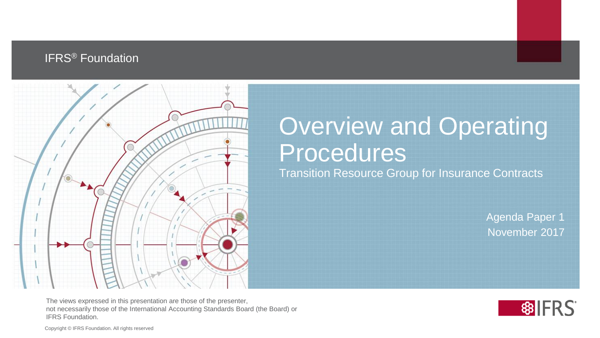#### **IFRS<sup>®</sup> Foundation**



#### Overview and Operating Procedures Transition Resource Group for Insurance Contracts

Agenda Paper 1 November 2017

The views expressed in this presentation are those of the presenter, not necessarily those of the International Accounting Standards Board (the Board) or IFRS Foundation.



Copyright © IFRS Foundation. All rights reserved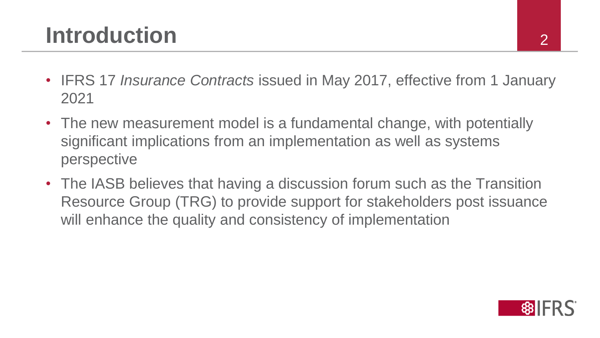#### **Introduction**

- IFRS 17 *Insurance Contracts* issued in May 2017, effective from 1 January 2021
- The new measurement model is a fundamental change, with potentially significant implications from an implementation as well as systems perspective
- The IASB believes that having a discussion forum such as the Transition Resource Group (TRG) to provide support for stakeholders post issuance will enhance the quality and consistency of implementation

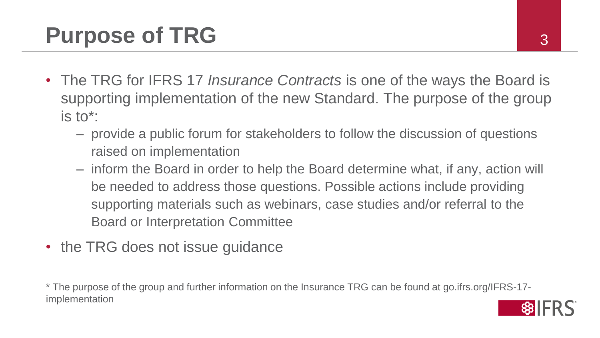- The TRG for IFRS 17 *Insurance Contracts* is one of the ways the Board is supporting implementation of the new Standard. The purpose of the group is to\*:
	- provide a public forum for stakeholders to follow the discussion of questions raised on implementation
	- inform the Board in order to help the Board determine what, if any, action will be needed to address those questions. Possible actions include providing supporting materials such as webinars, case studies and/or referral to the Board or Interpretation Committee
- the TRG does not issue guidance

\* The purpose of the group and further information on the Insurance TRG can be found at go.ifrs.org/IFRS-17 implementation

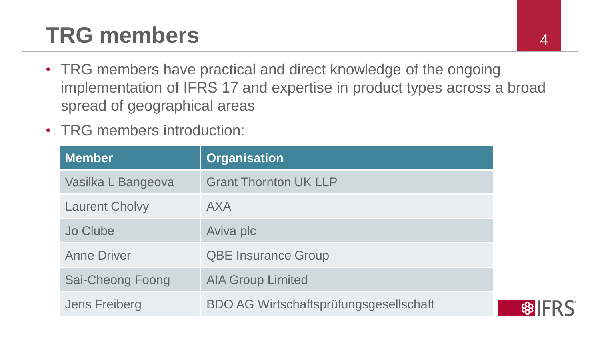## **TRG members** 4

- TRG members have practical and direct knowledge of the ongoing implementation of IFRS 17 and expertise in product types across a broad spread of geographical areas
- TRG members introduction:

| <b>Member</b>         | <b>Organisation</b>                           |
|-----------------------|-----------------------------------------------|
| Vasilka L Bangeova    | <b>Grant Thornton UK LLP</b>                  |
| <b>Laurent Cholvy</b> | <b>AXA</b>                                    |
| Jo Clube              | Aviva plc                                     |
| <b>Anne Driver</b>    | <b>QBE Insurance Group</b>                    |
| Sai-Cheong Foong      | <b>AIA Group Limited</b>                      |
| <b>Jens Freiberg</b>  | <b>BDO AG Wirtschaftsprüfungsgesellschaft</b> |

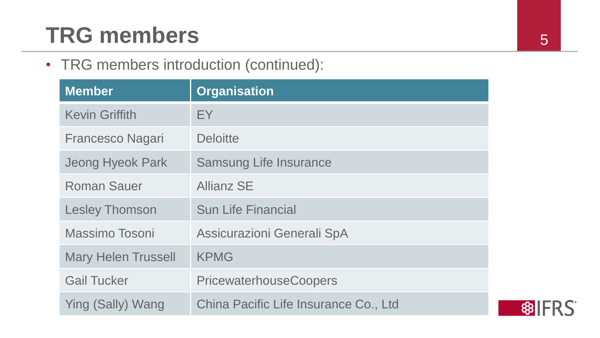## **TRG members** 5

• TRG members introduction (continued):

| <b>Member</b>              | <b>Organisation</b>                   |
|----------------------------|---------------------------------------|
| <b>Kevin Griffith</b>      | EY.                                   |
| <b>Francesco Nagari</b>    | <b>Deloitte</b>                       |
| <b>Jeong Hyeok Park</b>    | <b>Samsung Life Insurance</b>         |
| <b>Roman Sauer</b>         | <b>Allianz SE</b>                     |
| <b>Lesley Thomson</b>      | <b>Sun Life Financial</b>             |
| Massimo Tosoni             | Assicurazioni Generali SpA            |
| <b>Mary Helen Trussell</b> | <b>KPMG</b>                           |
| <b>Gail Tucker</b>         | <b>PricewaterhouseCoopers</b>         |
| Ying (Sally) Wang          | China Pacific Life Insurance Co., Ltd |

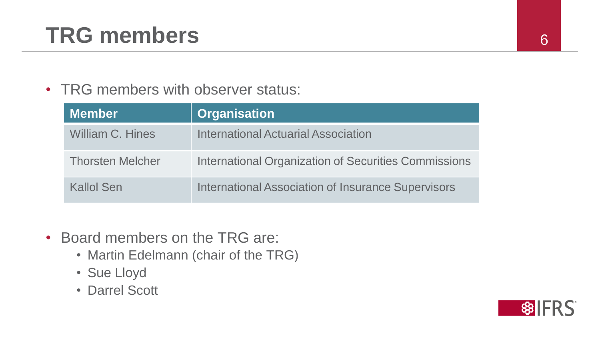## **TRG members** <sup>6</sup>

#### • TRG members with observer status:

| <b>Member</b>           | <b>Organisation</b>                                       |
|-------------------------|-----------------------------------------------------------|
| <b>William C. Hines</b> | <b>International Actuarial Association</b>                |
| <b>Thorsten Melcher</b> | International Organization of Securities Commissions      |
| Kallol Sen              | <b>International Association of Insurance Supervisors</b> |

- Board members on the TRG are:
	- Martin Edelmann (chair of the TRG)
	- Sue Lloyd
	- Darrel Scott

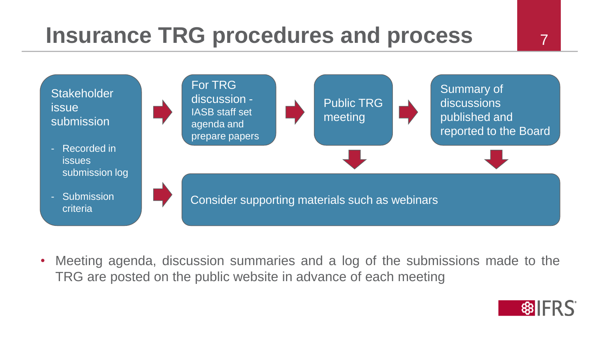#### **Insurance TRG procedures and process 7 7**



• Meeting agenda, discussion summaries and a log of the submissions made to the TRG are posted on the public website in advance of each meeting

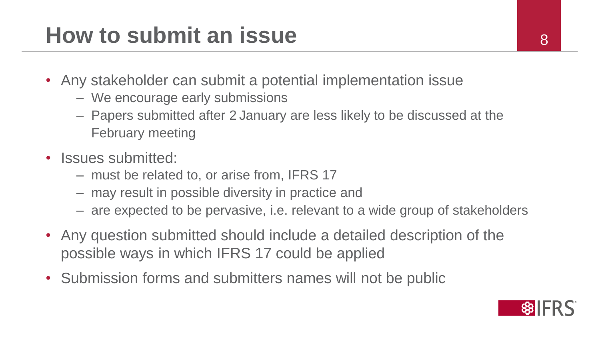#### **How to submit an issue Algebra 2012 18 Algebra 2013**

- Any stakeholder can submit a potential implementation issue
	- We encourage early submissions
	- Papers submitted after 2 January are less likely to be discussed at the February meeting
- Issues submitted:
	- must be related to, or arise from, IFRS 17
	- may result in possible diversity in practice and
	- are expected to be pervasive, i.e. relevant to a wide group of stakeholders
- Any question submitted should include a detailed description of the possible ways in which IFRS 17 could be applied
- Submission forms and submitters names will not be public

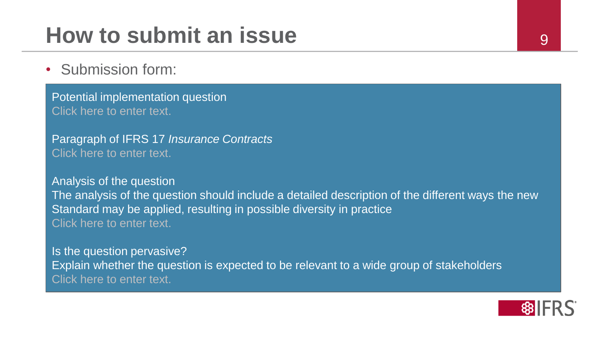#### **How to submit an issue Property and Property Algebra**

• Submission form:

Potential implementation question Click here to enter text.

Paragraph of IFRS 17 *Insurance Contracts* Click here to enter text.

Analysis of the question The analysis of the question should include a detailed description of the different ways the new Standard may be applied, resulting in possible diversity in practice Click here to enter text.

Is the question pervasive? Explain whether the question is expected to be relevant to a wide group of stakeholders Click here to enter text.

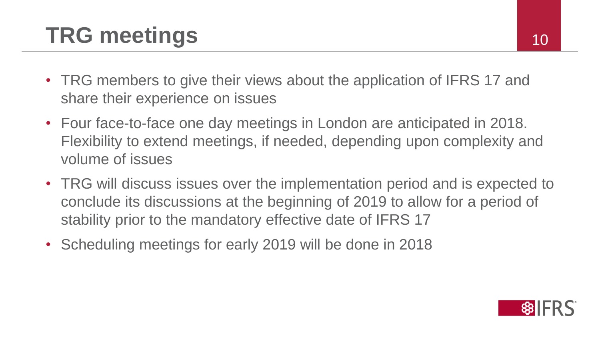# **TRG meetings** 10

- TRG members to give their views about the application of IFRS 17 and share their experience on issues
- Four face-to-face one day meetings in London are anticipated in 2018. Flexibility to extend meetings, if needed, depending upon complexity and volume of issues
- TRG will discuss issues over the implementation period and is expected to conclude its discussions at the beginning of 2019 to allow for a period of stability prior to the mandatory effective date of IFRS 17
- Scheduling meetings for early 2019 will be done in 2018

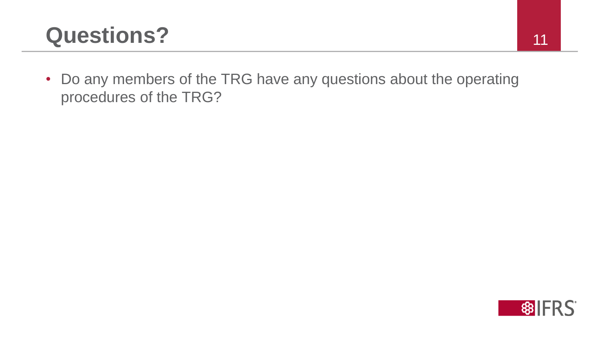#### **Questions?** 11

• Do any members of the TRG have any questions about the operating procedures of the TRG?